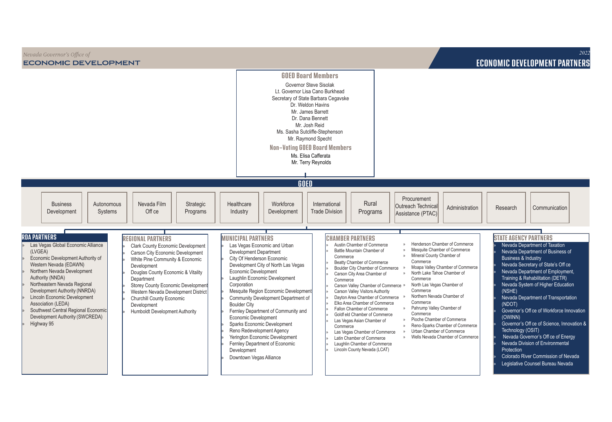| Nevada Governor's Office of<br><b>ECONOMIC DEVELOPMENT</b>                                                                                                                                                                                                                                                                                                                                                                                                                                                                                                                                                                                                                                                                                                                                                                                                                                             |                                                                                                                                                                                                                                                                                                                                                                                                                                                                                                                                                                                                                                                                                                                                                                                                                                                                                                                                                                                                                                                                                                                                                                                                                                                                                                                      | <b>ECONOMIC DEVELOPMENT PARTNERS</b>                                                                                                                                                                                                                                                                                                                                                                                                                                                                                                                                                                                                                                                                                                                                                                                                                                                                                                                                                                                                                                                                                                                                                                                                                                           | 2022 |
|--------------------------------------------------------------------------------------------------------------------------------------------------------------------------------------------------------------------------------------------------------------------------------------------------------------------------------------------------------------------------------------------------------------------------------------------------------------------------------------------------------------------------------------------------------------------------------------------------------------------------------------------------------------------------------------------------------------------------------------------------------------------------------------------------------------------------------------------------------------------------------------------------------|----------------------------------------------------------------------------------------------------------------------------------------------------------------------------------------------------------------------------------------------------------------------------------------------------------------------------------------------------------------------------------------------------------------------------------------------------------------------------------------------------------------------------------------------------------------------------------------------------------------------------------------------------------------------------------------------------------------------------------------------------------------------------------------------------------------------------------------------------------------------------------------------------------------------------------------------------------------------------------------------------------------------------------------------------------------------------------------------------------------------------------------------------------------------------------------------------------------------------------------------------------------------------------------------------------------------|--------------------------------------------------------------------------------------------------------------------------------------------------------------------------------------------------------------------------------------------------------------------------------------------------------------------------------------------------------------------------------------------------------------------------------------------------------------------------------------------------------------------------------------------------------------------------------------------------------------------------------------------------------------------------------------------------------------------------------------------------------------------------------------------------------------------------------------------------------------------------------------------------------------------------------------------------------------------------------------------------------------------------------------------------------------------------------------------------------------------------------------------------------------------------------------------------------------------------------------------------------------------------------|------|
|                                                                                                                                                                                                                                                                                                                                                                                                                                                                                                                                                                                                                                                                                                                                                                                                                                                                                                        | <b>GOED Board Members</b><br>Governor Steve Sisolak<br>Lt. Governor Lisa Cano Burkhead<br>Secretary of State Barbara Cegavske<br>Dr. Weldon Havins<br>Mr. James Barrett<br>Dr. Dana Bennett<br>Mr. Josh Reid<br>Ms. Sasha Sutcliffe-Stephenson<br>Mr. Raymond Specht<br><b>Non-Voting GOED Board Members</b><br>Ms. Elisa Cafferata<br>Mr. Terry Reynolds                                                                                                                                                                                                                                                                                                                                                                                                                                                                                                                                                                                                                                                                                                                                                                                                                                                                                                                                                            |                                                                                                                                                                                                                                                                                                                                                                                                                                                                                                                                                                                                                                                                                                                                                                                                                                                                                                                                                                                                                                                                                                                                                                                                                                                                                |      |
| <b>Business</b><br>Autonomous<br>Nevada Film<br>Strategic<br>Off ce<br>Development<br>Systems<br>Programs<br><b>RDA PARTNERS</b><br><b>REGIONAL PARTNERS</b><br>Las Vegas Global Economic Alliance<br><b>Clark County Economic Development</b><br>(LVGEA)<br>Carson City Economic Development<br>Economic Development Authority of<br>White Pine Community & Economic<br>Western Nevada (EDAWN)<br>Development<br>Northern Nevada Development<br>Douglas County Economic & Vitality<br>Authority (NNDA)<br>Department<br>Northeastern Nevada Regional<br>Storey County Economic Development<br>Development Authority (NNRDA)<br>Western Nevada Development District<br>Lincoln Economic Development<br>Churchill County Economic<br>Association (LEDA)<br>Development<br>Southwest Central Regional Economic<br><b>Humboldt Development Authority</b><br>Development Authority (SWCREDA)<br>Highway 95 | GOED<br>Rural<br>Healthcare<br>Workforce<br>International<br><b>Trade Division</b><br>Industry<br>Development<br>Programs<br><b>MUNICIPAL PARTNERS</b><br><b>CHAMBER PARTNERS</b><br>Austin Chamber of Commerce<br>Las Vegas Economic and Urban<br>Battle Mountain Chamber of<br>Development Department<br>Commerce<br>City Of Henderson Economic<br>Beatty Chamber of Commerce<br>Development City of North Las Vegas<br>Boulder City Chamber of Commerce<br>Economic Development<br>Carson City Area Chamber of<br>Laughlin Economic Development<br>Commerce<br>Corporation<br>Carson Valley Chamber of Commerce »<br>Mesquite Region Economic Development<br>Carson Valley Visitors Authority<br>Dayton Area Chamber of Commerce »<br>Community Development Department of<br>Elko Area Chamber of Commerce<br><b>Boulder City</b><br>Fallon Chamber of Commerce<br>Fernley Department of Community and<br>Goldf eld Chamber of Commerce<br>Economic Development<br>Las Vegas Asian Chamber of<br>Sparks Economic Development<br>Commerce<br>Reno Redevelopment Agency<br>Las Vegas Chamber of Commerce<br>Yerington Economic Development<br>Latin Chamber of Commerce<br>Fernley Department of Economic<br>Laughlin Chamber of Commerce<br>Lincoln County Nevada (LCAT)<br>Development<br>Downtown Vegas Alliance | Procurement<br>Outreach Technical<br>Administration<br>Research<br>Communication<br>Assistance (PTAC)<br><b>STATE AGENCY PARTNERS</b><br>Henderson Chamber of Commerce<br>Nevada Department of Taxation<br>Mesquite Chamber of Commerce<br>Nevada Department of Business of<br>Mineral County Chamber of<br>$\mathbf{v}$<br><b>Business &amp; Industry</b><br>Commerce<br>Nevada Secretary of State's Off ce<br>Moapa Valley Chamber of Commerce<br>Nevada Department of Employment,<br>North Lake Tahoe Chamber of<br>$\gg$<br>Training & Rehabilitation (DETR)<br>Commerce<br>Nevada System of Higher Education<br>North Las Vegas Chamber of<br>Commerce<br>(NSHE)<br>Northern Nevada Chamber of<br>Nevada Department of Transportation<br>Commerce<br>(NDOT)<br>» Pahrump Valley Chamber of<br>Governor's Off ce of Workforce Innovation<br>Commerce<br>(OWINN)<br>Pioche Chamber of Commerce<br>Governor's Off ce of Science, Innovation &<br>Reno-Sparks Chamber of Commerce<br>$\mathcal{D}$<br>Technology (OSIT)<br>Urban Chamber of Commerce<br>Nevada Governor's Off ce of Energy<br>Wells Nevada Chamber of Commerce<br>$\mathcal{D}$<br>Nevada Division of Environmental<br>Protection<br>Colorado River Commission of Nevada<br>Legislative Counsel Bureau Nevada |      |